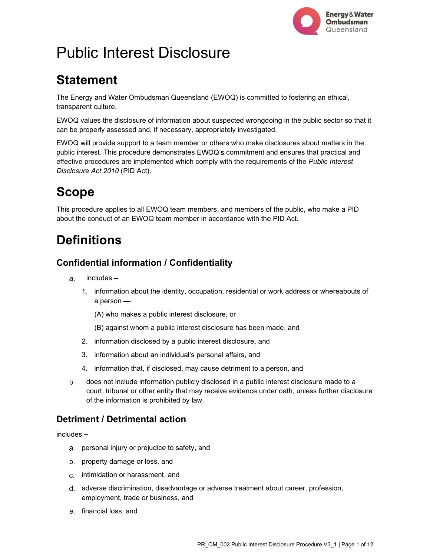

# Public Interest Disclosure

# **Statement**

The Energy and Water Ombudsman Queensland (EWOQ) is committed to fostering an ethical, transparent culture.

EWOQ values the disclosure of information about suspected wrongdoing in the public sector so that it can be properly assessed and, if necessary, appropriately investigated.

EWOQ will provide support to a team member or others who make disclosures about matters in the public interest. This procedure demonstrates EWOQ's commitment and ensures that practical and effective procedures are implemented which comply with the requirements of the Public Interest Disclosure Act 2010 (PID Act).

# Scope

This procedure applies to all EWOQ team members, and members of the public, who make a PID about the conduct of an EWOQ team member in accordance with the PID Act.

# **Definitions**

### Confidential information / Confidentiality

- a. includes-
	- 1. information about the identity, occupation, residential or work address or whereabouts of a person

(A) who makes a public interest disclosure, or

(B) against whom a public interest disclosure has been made, and

- 2. information disclosed by a public interest disclosure, and
- 3. information about an individual's personal affairs, and
- 4. information that, if disclosed, may cause detriment to a person, and
- does not include information publicly disclosed in a public interest disclosure made to a court, tribunal or other entity that may receive evidence under oath, unless further disclosure of the information is prohibited by law.

### Detriment / Detrimental action

includes -

- personal injury or prejudice to safety, and
- b. property damage or loss, and
- c. intimidation or harassment, and
- adverse discrimination, disadvantage or adverse treatment about career, profession, employment, trade or business, and
- e. financial loss, and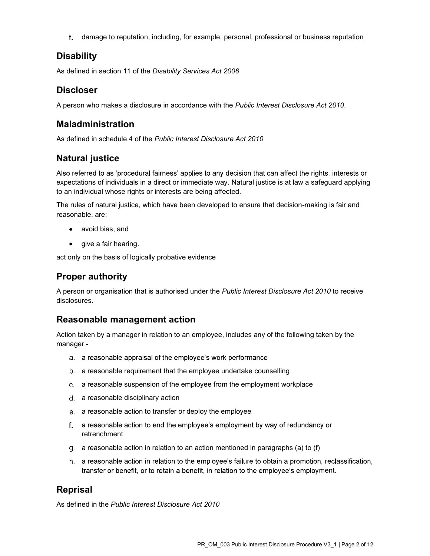damage to reputation, including, for example, personal, professional or business reputation

### Disability

As defined in section 11 of the Disability Services Act 2006

### Discloser

A person who makes a disclosure in accordance with the Public Interest Disclosure Act 2010.

### Maladministration

As defined in schedule 4 of the Public Interest Disclosure Act 2010

### Natural justice

Also referred to as 'procedural fairness' applies to any decision that can affect the rights, interests or expectations of individuals in a direct or immediate way. Natural justice is at law a safeguard applying to an individual whose rights or interests are being affected.

The rules of natural justice, which have been developed to ensure that decision-making is fair and reasonable, are:

- avoid bias, and
- give a fair hearing.

act only on the basis of logically probative evidence

### Proper authority

A person or organisation that is authorised under the Public Interest Disclosure Act 2010 to receive disclosures.

### Reasonable management action

Action taken by a manager in relation to an employee, includes any of the following taken by the manager -

- a. a reasonable appraisal of the employee's work performance
- a reasonable requirement that the employee undertake counselling
- a reasonable suspension of the employee from the employment workplace
- d. a reasonable disciplinary action
- a reasonable action to transfer or deploy the employee
- f. a reasonable action to end the employee's employment by way of redundancy or retrenchment
- g. a reasonable action in relation to an action mentioned in paragraphs (a) to (f)
- h. a reasonable action in relation to the employee's failure to obtain a promotion, reclassification, transfer or benefit, or to retain a benefit, in relation to the employee's employment.

### Reprisal

As defined in the Public Interest Disclosure Act 2010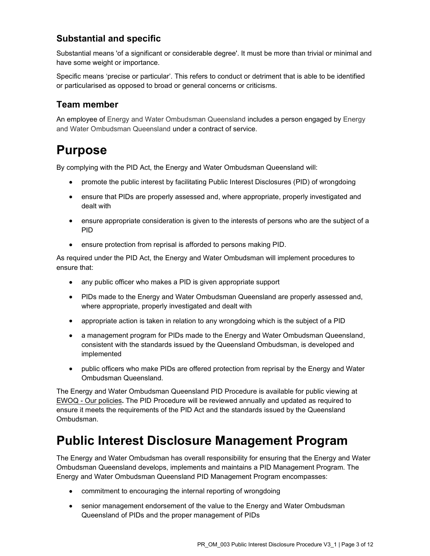### Substantial and specific

Substantial means 'of a significant or considerable degree'. It must be more than trivial or minimal and have some weight or importance.

Specific means 'precise or particular'. This refers to conduct or detriment that is able to be identified or particularised as opposed to broad or general concerns or criticisms.

### Team member

An employee of Energy and Water Ombudsman Queensland includes a person engaged by Energy and Water Ombudsman Queensland under a contract of service.

## Purpose

By complying with the PID Act, the Energy and Water Ombudsman Queensland will:

- promote the public interest by facilitating Public Interest Disclosures (PID) of wrongdoing  $\bullet$
- ensure that PIDs are properly assessed and, where appropriate, properly investigated and dealt with
- ensure appropriate consideration is given to the interests of persons who are the subject of a PID
- $\bullet$ ensure protection from reprisal is afforded to persons making PID.

As required under the PID Act, the Energy and Water Ombudsman will implement procedures to ensure that:

- any public officer who makes a PID is given appropriate support
- PIDs made to the Energy and Water Ombudsman Queensland are properly assessed and, where appropriate, properly investigated and dealt with
- appropriate action is taken in relation to any wrongdoing which is the subject of a PID
- a management program for PIDs made to the Energy and Water Ombudsman Queensland, consistent with the standards issued by the Queensland Ombudsman, is developed and implemented
- public officers who make PIDs are offered protection from reprisal by the Energy and Water Ombudsman Queensland.

The Energy and Water Ombudsman Queensland PID Procedure is available for public viewing at EWOQ - Our policies. The PID Procedure will be reviewed annually and updated as required to ensure it meets the requirements of the PID Act and the standards issued by the Queensland Ombudsman.

# Public Interest Disclosure Management Program

The Energy and Water Ombudsman has overall responsibility for ensuring that the Energy and Water Ombudsman Queensland develops, implements and maintains a PID Management Program. The Energy and Water Ombudsman Queensland PID Management Program encompasses:

- commitment to encouraging the internal reporting of wrongdoing
- senior management endorsement of the value to the Energy and Water Ombudsman Queensland of PIDs and the proper management of PIDs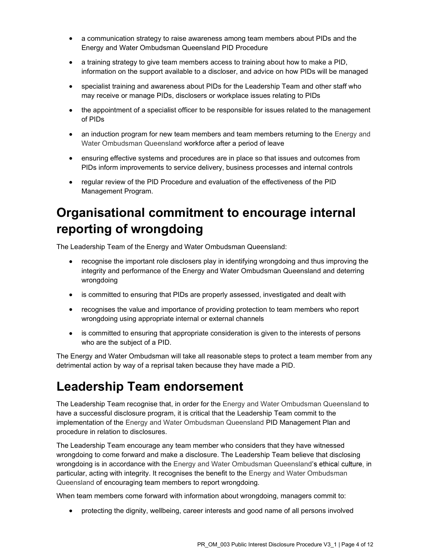- a communication strategy to raise awareness among team members about PIDs and the Energy and Water Ombudsman Queensland PID Procedure
- a training strategy to give team members access to training about how to make a PID, information on the support available to a discloser, and advice on how PIDs will be managed
- specialist training and awareness about PIDs for the Leadership Team and other staff who may receive or manage PIDs, disclosers or workplace issues relating to PIDs
- the appointment of a specialist officer to be responsible for issues related to the management of PIDs
- an induction program for new team members and team members returning to the Energy and Water Ombudsman Queensland workforce after a period of leave
- ensuring effective systems and procedures are in place so that issues and outcomes from PIDs inform improvements to service delivery, business processes and internal controls
- regular review of the PID Procedure and evaluation of the effectiveness of the PID Management Program.

# Organisational commitment to encourage internal reporting of wrongdoing

The Leadership Team of the Energy and Water Ombudsman Queensland:

- recognise the important role disclosers play in identifying wrongdoing and thus improving the integrity and performance of the Energy and Water Ombudsman Queensland and deterring wrongdoing
- is committed to ensuring that PIDs are properly assessed, investigated and dealt with
- recognises the value and importance of providing protection to team members who report wrongdoing using appropriate internal or external channels
- is committed to ensuring that appropriate consideration is given to the interests of persons who are the subject of a PID.

The Energy and Water Ombudsman will take all reasonable steps to protect a team member from any detrimental action by way of a reprisal taken because they have made a PID.

## Leadership Team endorsement

The Leadership Team recognise that, in order for the Energy and Water Ombudsman Queensland to have a successful disclosure program, it is critical that the Leadership Team commit to the implementation of the Energy and Water Ombudsman Queensland PID Management Plan and procedure in relation to disclosures.

The Leadership Team encourage any team member who considers that they have witnessed wrongdoing to come forward and make a disclosure. The Leadership Team believe that disclosing wrongdoing is in accordance with the Energy and Water Ombudsman Queensland's ethical culture, in particular, acting with integrity. It recognises the benefit to the Energy and Water Ombudsman Queensland of encouraging team members to report wrongdoing.

When team members come forward with information about wrongdoing, managers commit to:

protecting the dignity, wellbeing, career interests and good name of all persons involved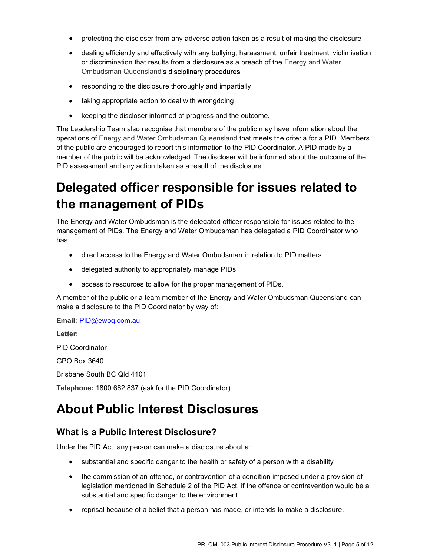- protecting the discloser from any adverse action taken as a result of making the disclosure
- dealing efficiently and effectively with any bullying, harassment, unfair treatment, victimisation or discrimination that results from a disclosure as a breach of the Energy and Water Ombudsman Queensland
- responding to the disclosure thoroughly and impartially
- taking appropriate action to deal with wrongdoing
- keeping the discloser informed of progress and the outcome.

The Leadership Team also recognise that members of the public may have information about the operations of Energy and Water Ombudsman Queensland that meets the criteria for a PID. Members of the public are encouraged to report this information to the PID Coordinator. A PID made by a member of the public will be acknowledged. The discloser will be informed about the outcome of the PID assessment and any action taken as a result of the disclosure.

# Delegated officer responsible for issues related to the management of PIDs

The Energy and Water Ombudsman is the delegated officer responsible for issues related to the management of PIDs. The Energy and Water Ombudsman has delegated a PID Coordinator who has:

- direct access to the Energy and Water Ombudsman in relation to PID matters
- delegated authority to appropriately manage PIDs
- access to resources to allow for the proper management of PIDs.

A member of the public or a team member of the Energy and Water Ombudsman Queensland can make a disclosure to the PID Coordinator by way of:

Email: PID@ewoq.com.au

Letter:

PID Coordinator

GPO Box 3640

Brisbane South BC Qld 4101

Telephone: 1800 662 837 (ask for the PID Coordinator)

### About Public Interest Disclosures

### What is a Public Interest Disclosure?

Under the PID Act, any person can make a disclosure about a:

- substantial and specific danger to the health or safety of a person with a disability
- the commission of an offence, or contravention of a condition imposed under a provision of legislation mentioned in Schedule 2 of the PID Act, if the offence or contravention would be a substantial and specific danger to the environment
- reprisal because of a belief that a person has made, or intends to make a disclosure.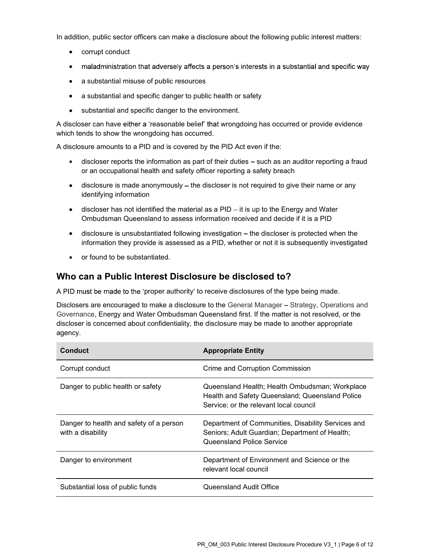In addition, public sector officers can make a disclosure about the following public interest matters:

- corrupt conduct
- maladministration that adversely affects a person's interests in a substantial and specific way
- a substantial misuse of public resources
- a substantial and specific danger to public health or safety
- $\bullet$ substantial and specific danger to the environment.

A discloser can have either a 'reasonable belief' that wrongdoing has occurred or provide evidence which tends to show the wrongdoing has occurred.

A disclosure amounts to a PID and is covered by the PID Act even if the:

- $\bullet$  discloser reports the information as part of their duties  $-$  such as an auditor reporting a fraud or an occupational health and safety officer reporting a safety breach
- $\bullet$  disclosure is made anonymously  $-$  the discloser is not required to give their name or any identifying information
- $\bullet$  discloser has not identified the material as a PID  $-i$  it is up to the Energy and Water Ombudsman Queensland to assess information received and decide if it is a PID
- $\bullet$  disclosure is unsubstantiated following investigation  $-$  the discloser is protected when the information they provide is assessed as a PID, whether or not it is subsequently investigated
- or found to be substantiated.  $\bullet$

### Who can a Public Interest Disclosure be disclosed to?

A PID must be made to the 'proper authority' to receive disclosures of the type being made.

Disclosers are encouraged to make a disclosure to the General Manager - Strategy, Operations and Governance, Energy and Water Ombudsman Queensland first. If the matter is not resolved, or the discloser is concerned about confidentiality, the disclosure may be made to another appropriate agency.

| Conduct                                                      | <b>Appropriate Entity</b>                                                                                                                   |
|--------------------------------------------------------------|---------------------------------------------------------------------------------------------------------------------------------------------|
| Corrupt conduct                                              | Crime and Corruption Commission                                                                                                             |
| Danger to public health or safety                            | Queensland Health; Health Ombudsman; Workplace<br>Health and Safety Queensland; Queensland Police<br>Service; or the relevant local council |
| Danger to health and safety of a person<br>with a disability | Department of Communities, Disability Services and<br>Seniors; Adult Guardian; Department of Health;<br>Queensland Police Service           |
| Danger to environment                                        | Department of Environment and Science or the<br>relevant local council                                                                      |
| Substantial loss of public funds                             | Queensland Audit Office                                                                                                                     |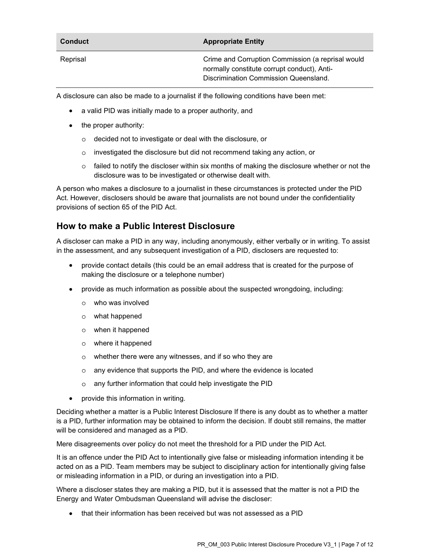| <b>Conduct</b> | <b>Appropriate Entity</b>                         |
|----------------|---------------------------------------------------|
| Reprisal       | Crime and Corruption Commission (a reprisal would |
|                | normally constitute corrupt conduct), Anti-       |

Discrimination Commission Queensland.

A disclosure can also be made to a journalist if the following conditions have been met:

- a valid PID was initially made to a proper authority, and
- the proper authority:
	- decided not to investigate or deal with the disclosure, or  $\circ$
	- investigated the disclosure but did not recommend taking any action, or  $\Omega$
	- $\circ$  failed to notify the discloser within six months of making the disclosure whether or not the disclosure was to be investigated or otherwise dealt with.

A person who makes a disclosure to a journalist in these circumstances is protected under the PID Act. However, disclosers should be aware that journalists are not bound under the confidentiality provisions of section 65 of the PID Act.

### How to make a Public Interest Disclosure

A discloser can make a PID in any way, including anonymously, either verbally or in writing. To assist in the assessment, and any subsequent investigation of a PID, disclosers are requested to:

- provide contact details (this could be an email address that is created for the purpose of making the disclosure or a telephone number)
- provide as much information as possible about the suspected wrongdoing, including:
	- who was involved
	- what happened  $\circ$
	- when it happened
	- where it happened  $\circ$
	- whether there were any witnesses, and if so who they are  $\circ$
	- any evidence that supports the PID, and where the evidence is located  $\Omega$
	- any further information that could help investigate the PID  $\circ$
- provide this information in writing.

Deciding whether a matter is a Public Interest Disclosure If there is any doubt as to whether a matter is a PID, further information may be obtained to inform the decision. If doubt still remains, the matter will be considered and managed as a PID.

Mere disagreements over policy do not meet the threshold for a PID under the PID Act.

It is an offence under the PID Act to intentionally give false or misleading information intending it be acted on as a PID. Team members may be subject to disciplinary action for intentionally giving false or misleading information in a PID, or during an investigation into a PID.

Where a discloser states they are making a PID, but it is assessed that the matter is not a PID the Energy and Water Ombudsman Queensland will advise the discloser:

that their information has been received but was not assessed as a PID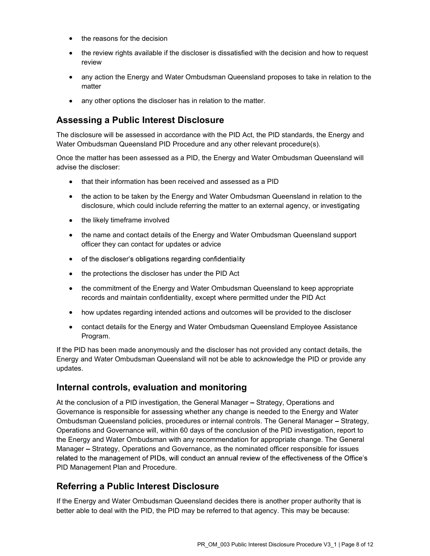- the reasons for the decision
- the review rights available if the discloser is dissatisfied with the decision and how to request review
- any action the Energy and Water Ombudsman Queensland proposes to take in relation to the matter
- any other options the discloser has in relation to the matter.

### Assessing a Public Interest Disclosure

The disclosure will be assessed in accordance with the PID Act, the PID standards, the Energy and Water Ombudsman Queensland PID Procedure and any other relevant procedure(s).

Once the matter has been assessed as a PID, the Energy and Water Ombudsman Queensland will advise the discloser:

- that their information has been received and assessed as a PID
- the action to be taken by the Energy and Water Ombudsman Queensland in relation to the disclosure, which could include referring the matter to an external agency, or investigating
- the likely timeframe involved
- the name and contact details of the Energy and Water Ombudsman Queensland support officer they can contact for updates or advice
- of the discloser's obligations regarding confidentiality
- the protections the discloser has under the PID Act
- the commitment of the Energy and Water Ombudsman Queensland to keep appropriate records and maintain confidentiality, except where permitted under the PID Act
- how updates regarding intended actions and outcomes will be provided to the discloser
- contact details for the Energy and Water Ombudsman Queensland Employee Assistance Program.

If the PID has been made anonymously and the discloser has not provided any contact details, the Energy and Water Ombudsman Queensland will not be able to acknowledge the PID or provide any updates.

### Internal controls, evaluation and monitoring

At the conclusion of a PID investigation, the General Manager – Strategy, Operations and Governance is responsible for assessing whether any change is needed to the Energy and Water Ombudsman Queensland policies, procedures or internal controls. The General Manager - Strategy, Operations and Governance will, within 60 days of the conclusion of the PID investigation, report to the Energy and Water Ombudsman with any recommendation for appropriate change. The General Manager – Strategy, Operations and Governance, as the nominated officer responsible for issues related to the management of PIDs, will conduct an annual review of the effectiveness of the Office's PID Management Plan and Procedure.

### Referring a Public Interest Disclosure

If the Energy and Water Ombudsman Queensland decides there is another proper authority that is better able to deal with the PID, the PID may be referred to that agency. This may be because: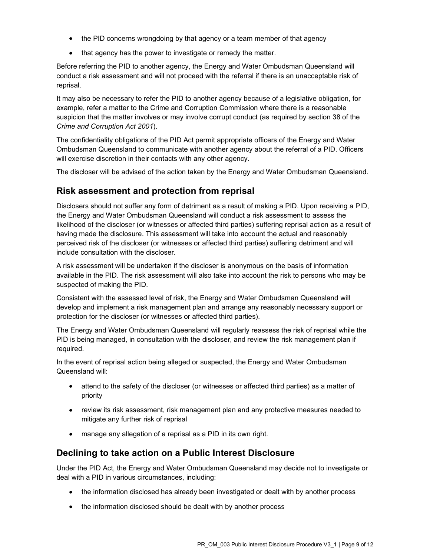- the PID concerns wrongdoing by that agency or a team member of that agency
- that agency has the power to investigate or remedy the matter.

Before referring the PID to another agency, the Energy and Water Ombudsman Queensland will conduct a risk assessment and will not proceed with the referral if there is an unacceptable risk of reprisal.

It may also be necessary to refer the PID to another agency because of a legislative obligation, for example, refer a matter to the Crime and Corruption Commission where there is a reasonable suspicion that the matter involves or may involve corrupt conduct (as required by section 38 of the Crime and Corruption Act 2001).

The confidentiality obligations of the PID Act permit appropriate officers of the Energy and Water Ombudsman Queensland to communicate with another agency about the referral of a PID. Officers will exercise discretion in their contacts with any other agency.

The discloser will be advised of the action taken by the Energy and Water Ombudsman Queensland.

### Risk assessment and protection from reprisal

Disclosers should not suffer any form of detriment as a result of making a PID. Upon receiving a PID, the Energy and Water Ombudsman Queensland will conduct a risk assessment to assess the likelihood of the discloser (or witnesses or affected third parties) suffering reprisal action as a result of having made the disclosure. This assessment will take into account the actual and reasonably perceived risk of the discloser (or witnesses or affected third parties) suffering detriment and will include consultation with the discloser.

A risk assessment will be undertaken if the discloser is anonymous on the basis of information available in the PID. The risk assessment will also take into account the risk to persons who may be suspected of making the PID.

Consistent with the assessed level of risk, the Energy and Water Ombudsman Queensland will develop and implement a risk management plan and arrange any reasonably necessary support or protection for the discloser (or witnesses or affected third parties).

The Energy and Water Ombudsman Queensland will regularly reassess the risk of reprisal while the PID is being managed, in consultation with the discloser, and review the risk management plan if required.

In the event of reprisal action being alleged or suspected, the Energy and Water Ombudsman Queensland will:

- attend to the safety of the discloser (or witnesses or affected third parties) as a matter of priority
- review its risk assessment, risk management plan and any protective measures needed to mitigate any further risk of reprisal
- manage any allegation of a reprisal as a PID in its own right.

### Declining to take action on a Public Interest Disclosure

Under the PID Act, the Energy and Water Ombudsman Queensland may decide not to investigate or deal with a PID in various circumstances, including:

- the information disclosed has already been investigated or dealt with by another process
- the information disclosed should be dealt with by another process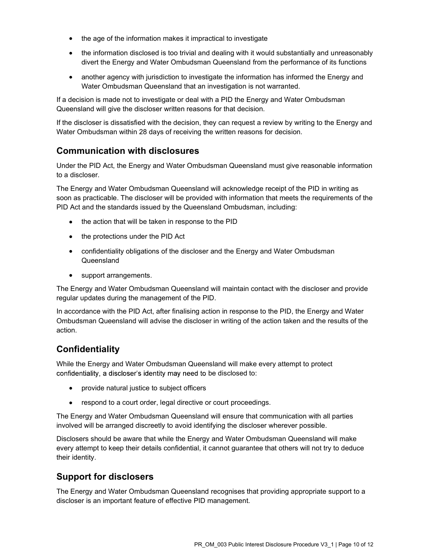- the age of the information makes it impractical to investigate
- the information disclosed is too trivial and dealing with it would substantially and unreasonably divert the Energy and Water Ombudsman Queensland from the performance of its functions
- another agency with jurisdiction to investigate the information has informed the Energy and  $\bullet$ Water Ombudsman Queensland that an investigation is not warranted.

If a decision is made not to investigate or deal with a PID the Energy and Water Ombudsman Queensland will give the discloser written reasons for that decision.

If the discloser is dissatisfied with the decision, they can request a review by writing to the Energy and Water Ombudsman within 28 days of receiving the written reasons for decision.

### Communication with disclosures

Under the PID Act, the Energy and Water Ombudsman Queensland must give reasonable information to a discloser.

The Energy and Water Ombudsman Queensland will acknowledge receipt of the PID in writing as soon as practicable. The discloser will be provided with information that meets the requirements of the PID Act and the standards issued by the Queensland Ombudsman, including:

- the action that will be taken in response to the PID
- the protections under the PID Act
- confidentiality obligations of the discloser and the Energy and Water Ombudsman Queensland
- support arrangements.

The Energy and Water Ombudsman Queensland will maintain contact with the discloser and provide regular updates during the management of the PID.

In accordance with the PID Act, after finalising action in response to the PID, the Energy and Water Ombudsman Queensland will advise the discloser in writing of the action taken and the results of the action.

### **Confidentiality**

While the Energy and Water Ombudsman Queensland will make every attempt to protect confidentiality, a discloser's identity may need to be disclosed to:

- provide natural justice to subject officers
- respond to a court order, legal directive or court proceedings.

The Energy and Water Ombudsman Queensland will ensure that communication with all parties involved will be arranged discreetly to avoid identifying the discloser wherever possible.

Disclosers should be aware that while the Energy and Water Ombudsman Queensland will make every attempt to keep their details confidential, it cannot guarantee that others will not try to deduce their identity.

### Support for disclosers

The Energy and Water Ombudsman Queensland recognises that providing appropriate support to a discloser is an important feature of effective PID management.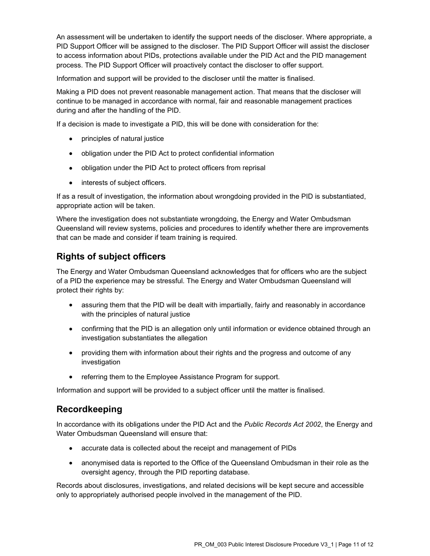An assessment will be undertaken to identify the support needs of the discloser. Where appropriate, a PID Support Officer will be assigned to the discloser. The PID Support Officer will assist the discloser to access information about PIDs, protections available under the PID Act and the PID management process. The PID Support Officer will proactively contact the discloser to offer support.

Information and support will be provided to the discloser until the matter is finalised.

Making a PID does not prevent reasonable management action. That means that the discloser will continue to be managed in accordance with normal, fair and reasonable management practices during and after the handling of the PID.

If a decision is made to investigate a PID, this will be done with consideration for the:

- principles of natural justice
- obligation under the PID Act to protect confidential information
- $\bullet$ obligation under the PID Act to protect officers from reprisal
- $\bullet$ interests of subject officers.

If as a result of investigation, the information about wrongdoing provided in the PID is substantiated, appropriate action will be taken.

Where the investigation does not substantiate wrongdoing, the Energy and Water Ombudsman Queensland will review systems, policies and procedures to identify whether there are improvements that can be made and consider if team training is required.

### Rights of subject officers

The Energy and Water Ombudsman Queensland acknowledges that for officers who are the subject of a PID the experience may be stressful. The Energy and Water Ombudsman Queensland will protect their rights by:

- assuring them that the PID will be dealt with impartially, fairly and reasonably in accordance with the principles of natural justice
- confirming that the PID is an allegation only until information or evidence obtained through an investigation substantiates the allegation
- providing them with information about their rights and the progress and outcome of any investigation
- referring them to the Employee Assistance Program for support.

Information and support will be provided to a subject officer until the matter is finalised.

### Recordkeeping

In accordance with its obligations under the PID Act and the Public Records Act 2002, the Energy and Water Ombudsman Queensland will ensure that:

- accurate data is collected about the receipt and management of PIDs
- anonymised data is reported to the Office of the Queensland Ombudsman in their role as the oversight agency, through the PID reporting database.

Records about disclosures, investigations, and related decisions will be kept secure and accessible only to appropriately authorised people involved in the management of the PID.